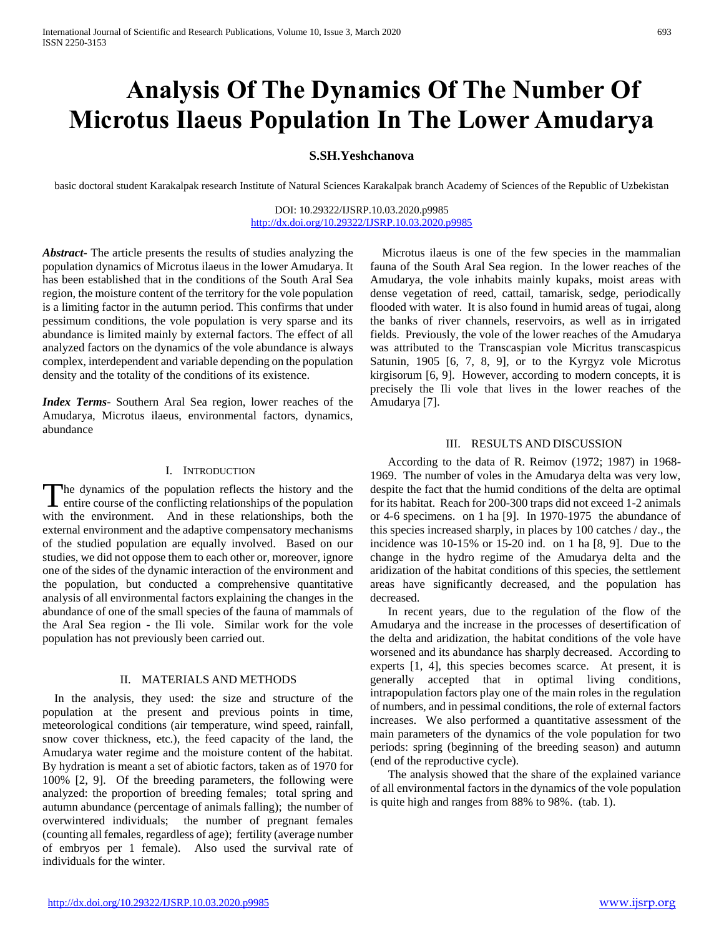# **Analysis Of The Dynamics Of The Number Of Microtus Ilaeus Population In The Lower Amudarya**

## **S.SH.Yeshchanova**

basic doctoral student Karakalpak research Institute of Natural Sciences Karakalpak branch Academy of Sciences of the Republic of Uzbekistan

DOI: 10.29322/IJSRP.10.03.2020.p9985 <http://dx.doi.org/10.29322/IJSRP.10.03.2020.p9985>

*Abstract***-** The article presents the results of studies analyzing the population dynamics of Microtus ilaeus in the lower Amudarya. It has been established that in the conditions of the South Aral Sea region, the moisture content of the territory for the vole population is a limiting factor in the autumn period. This confirms that under pessimum conditions, the vole population is very sparse and its abundance is limited mainly by external factors. The effect of all analyzed factors on the dynamics of the vole abundance is always complex, interdependent and variable depending on the population density and the totality of the conditions of its existence.

*Index Terms*- Southern Aral Sea region, lower reaches of the Amudarya, Microtus ilaeus, environmental factors, dynamics, abundance

#### I. INTRODUCTION

he dynamics of the population reflects the history and the The dynamics of the population reflects the history and the entire course of the conflicting relationships of the population with the environment. And in these relationships, both the external environment and the adaptive compensatory mechanisms of the studied population are equally involved. Based on our studies, we did not oppose them to each other or, moreover, ignore one of the sides of the dynamic interaction of the environment and the population, but conducted a comprehensive quantitative analysis of all environmental factors explaining the changes in the abundance of one of the small species of the fauna of mammals of the Aral Sea region - the Ili vole. Similar work for the vole population has not previously been carried out.

## II. MATERIALS AND METHODS

 In the analysis, they used: the size and structure of the population at the present and previous points in time, meteorological conditions (air temperature, wind speed, rainfall, snow cover thickness, etc.), the feed capacity of the land, the Amudarya water regime and the moisture content of the habitat. By hydration is meant a set of abiotic factors, taken as of 1970 for 100% [2, 9]. Of the breeding parameters, the following were analyzed: the proportion of breeding females; total spring and autumn abundance (percentage of animals falling); the number of overwintered individuals; the number of pregnant females (counting all females, regardless of age); fertility (average number of embryos per 1 female). Also used the survival rate of individuals for the winter.

 Microtus ilaeus is one of the few species in the mammalian fauna of the South Aral Sea region. In the lower reaches of the Amudarya, the vole inhabits mainly kupaks, moist areas with dense vegetation of reed, cattail, tamarisk, sedge, periodically flooded with water. It is also found in humid areas of tugai, along the banks of river channels, reservoirs, as well as in irrigated fields. Previously, the vole of the lower reaches of the Amudarya was attributed to the Transcaspian vole Micritus transcaspicus Satunin, 1905 [6, 7, 8, 9], or to the Kyrgyz vole Microtus kirgisorum [6, 9]. However, according to modern concepts, it is precisely the Ili vole that lives in the lower reaches of the Amudarya [7].

#### III. RESULTS AND DISCUSSION

 According to the data of R. Reimov (1972; 1987) in 1968- 1969. The number of voles in the Amudarya delta was very low, despite the fact that the humid conditions of the delta are optimal for its habitat. Reach for 200-300 traps did not exceed 1-2 animals or 4-6 specimens. on 1 ha [9]. In 1970-1975 the abundance of this species increased sharply, in places by 100 catches / day., the incidence was 10-15% or 15-20 ind. on 1 ha [8, 9]. Due to the change in the hydro regime of the Amudarya delta and the aridization of the habitat conditions of this species, the settlement areas have significantly decreased, and the population has decreased.

 In recent years, due to the regulation of the flow of the Amudarya and the increase in the processes of desertification of the delta and aridization, the habitat conditions of the vole have worsened and its abundance has sharply decreased. According to experts [1, 4], this species becomes scarce. At present, it is generally accepted that in optimal living conditions, intrapopulation factors play one of the main roles in the regulation of numbers, and in pessimal conditions, the role of external factors increases. We also performed a quantitative assessment of the main parameters of the dynamics of the vole population for two periods: spring (beginning of the breeding season) and autumn (end of the reproductive cycle).

 The analysis showed that the share of the explained variance of all environmental factors in the dynamics of the vole population is quite high and ranges from 88% to 98%. (tab. 1).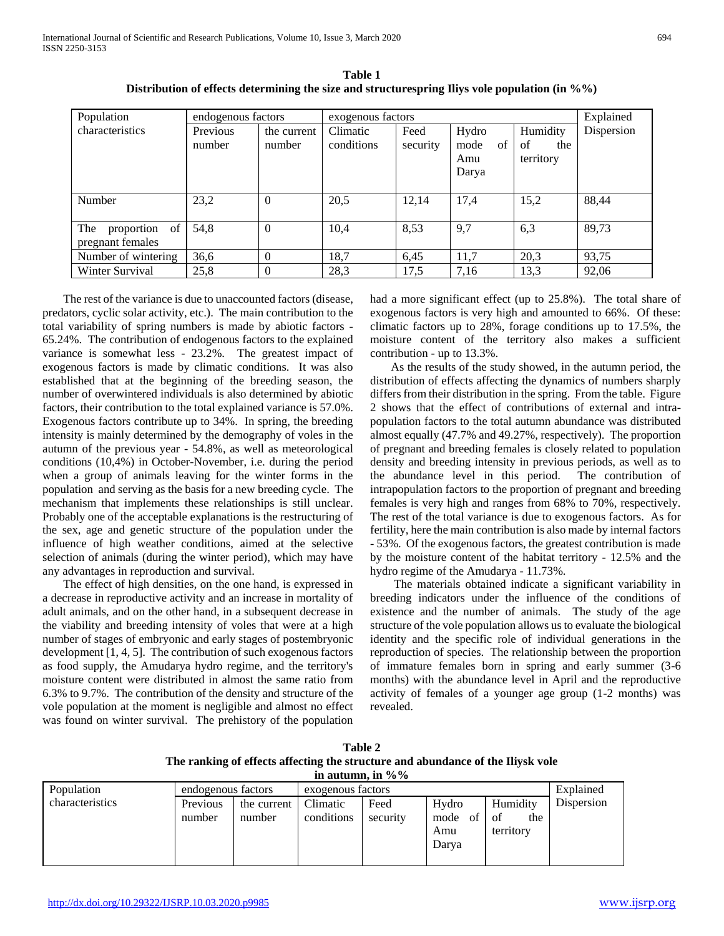International Journal of Scientific and Research Publications, Volume 10, Issue 3, March 2020 694 ISSN 2250-3153

| Population                               | endogenous factors |                       | exogenous factors      | Explained        |                                     |                                    |            |
|------------------------------------------|--------------------|-----------------------|------------------------|------------------|-------------------------------------|------------------------------------|------------|
| characteristics                          | Previous<br>number | the current<br>number | Climatic<br>conditions | Feed<br>security | Hydro<br>of<br>mode<br>Amu<br>Darya | Humidity<br>of<br>the<br>territory | Dispersion |
| Number                                   | 23,2               | $\theta$              | 20,5                   | 12,14            | 17,4                                | 15,2                               | 88,44      |
| proportion of<br>The<br>pregnant females | 54,8               | $\theta$              | 10,4                   | 8,53             | 9,7                                 | 6,3                                | 89,73      |
| Number of wintering                      | 36.6               | $\Omega$              | 18,7                   | 6.45             | 11,7                                | 20,3                               | 93,75      |
| Winter Survival                          | 25,8               | $\theta$              | 28,3                   | 17,5             | 7,16                                | 13,3                               | 92,06      |

**Table 1 Distribution of effects determining the size and structurespring Iliys vole population (in %%)**

 The rest of the variance is due to unaccounted factors (disease, predators, cyclic solar activity, etc.). The main contribution to the total variability of spring numbers is made by abiotic factors - 65.24%. The contribution of endogenous factors to the explained variance is somewhat less - 23.2%. The greatest impact of exogenous factors is made by climatic conditions. It was also established that at the beginning of the breeding season, the number of overwintered individuals is also determined by abiotic factors, their contribution to the total explained variance is 57.0%. Exogenous factors contribute up to 34%. In spring, the breeding intensity is mainly determined by the demography of voles in the autumn of the previous year - 54.8%, as well as meteorological conditions (10,4%) in October-November, i.e. during the period when a group of animals leaving for the winter forms in the population and serving as the basis for a new breeding cycle. The mechanism that implements these relationships is still unclear. Probably one of the acceptable explanations is the restructuring of the sex, age and genetic structure of the population under the influence of high weather conditions, aimed at the selective selection of animals (during the winter period), which may have any advantages in reproduction and survival.

 The effect of high densities, on the one hand, is expressed in a decrease in reproductive activity and an increase in mortality of adult animals, and on the other hand, in a subsequent decrease in the viability and breeding intensity of voles that were at a high number of stages of embryonic and early stages of postembryonic development [1, 4, 5]. The contribution of such exogenous factors as food supply, the Amudarya hydro regime, and the territory's moisture content were distributed in almost the same ratio from 6.3% to 9.7%. The contribution of the density and structure of the vole population at the moment is negligible and almost no effect was found on winter survival. The prehistory of the population

had a more significant effect (up to 25.8%). The total share of exogenous factors is very high and amounted to 66%. Of these: climatic factors up to 28%, forage conditions up to 17.5%, the moisture content of the territory also makes a sufficient contribution - up to 13.3%.

 As the results of the study showed, in the autumn period, the distribution of effects affecting the dynamics of numbers sharply differs from their distribution in the spring. From the table. Figure 2 shows that the effect of contributions of external and intrapopulation factors to the total autumn abundance was distributed almost equally (47.7% and 49.27%, respectively). The proportion of pregnant and breeding females is closely related to population density and breeding intensity in previous periods, as well as to the abundance level in this period. The contribution of intrapopulation factors to the proportion of pregnant and breeding females is very high and ranges from 68% to 70%, respectively. The rest of the total variance is due to exogenous factors. As for fertility, here the main contribution is also made by internal factors - 53%. Of the exogenous factors, the greatest contribution is made by the moisture content of the habitat territory - 12.5% and the hydro regime of the Amudarya - 11.73%.

 The materials obtained indicate a significant variability in breeding indicators under the influence of the conditions of existence and the number of animals. The study of the age structure of the vole population allows us to evaluate the biological identity and the specific role of individual generations in the reproduction of species. The relationship between the proportion of immature females born in spring and early summer (3-6 months) with the abundance level in April and the reproductive activity of females of a younger age group (1-2 months) was revealed.

| Table 2                                                                         |
|---------------------------------------------------------------------------------|
| The ranking of effects affecting the structure and abundance of the Iliysk vole |
| in autumn, in $\%$ %                                                            |

| Population      | endogenous factors |                       | exogenous factors      | Explained        |                            |                                    |            |
|-----------------|--------------------|-----------------------|------------------------|------------------|----------------------------|------------------------------------|------------|
| characteristics | Previous<br>number | the current<br>number | Climatic<br>conditions | Feed<br>security | Hydro<br>mode<br>of<br>Amu | Humidity<br>of<br>the<br>territory | Dispersion |
|                 |                    |                       |                        |                  | Darya                      |                                    |            |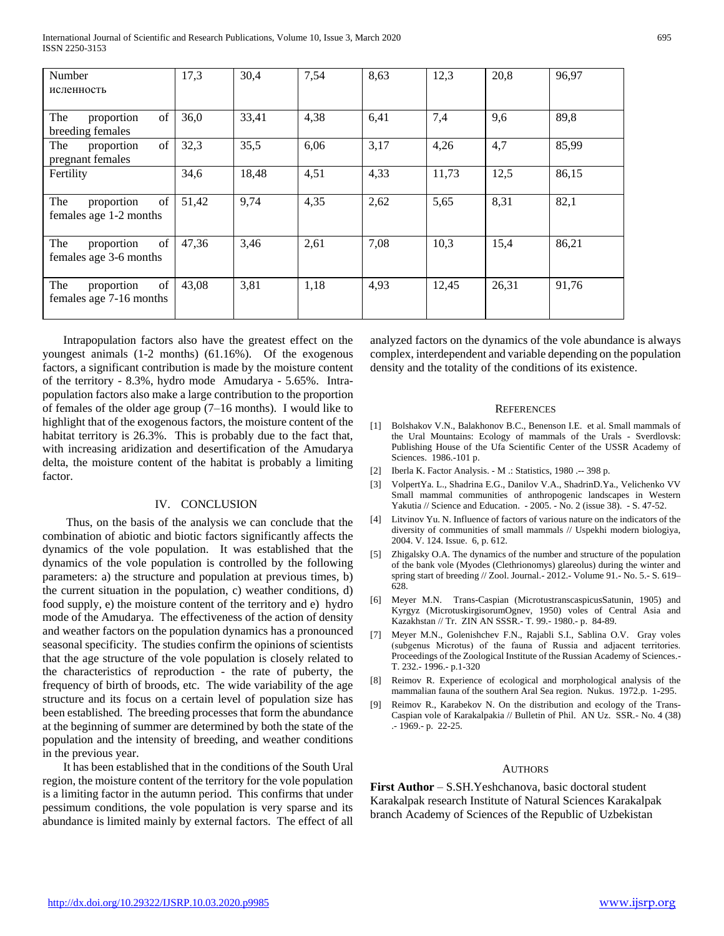International Journal of Scientific and Research Publications, Volume 10, Issue 3, March 2020 695 ISSN 2250-3153

| Number<br>исленность                               | 17,3  | 30,4  | 7,54 | 8,63 | 12,3  | 20,8  | 96,97 |
|----------------------------------------------------|-------|-------|------|------|-------|-------|-------|
| of<br>The<br>proportion<br>breeding females        | 36,0  | 33,41 | 4,38 | 6,41 | 7,4   | 9,6   | 89,8  |
| of<br>The<br>proportion<br>pregnant females        | 32,3  | 35,5  | 6,06 | 3,17 | 4,26  | 4,7   | 85,99 |
| Fertility                                          | 34,6  | 18,48 | 4,51 | 4,33 | 11,73 | 12,5  | 86,15 |
| of<br>The<br>proportion<br>females age 1-2 months  | 51,42 | 9,74  | 4,35 | 2,62 | 5,65  | 8,31  | 82,1  |
| of<br>The<br>proportion<br>females age 3-6 months  | 47,36 | 3,46  | 2,61 | 7,08 | 10,3  | 15,4  | 86,21 |
| of<br>The<br>proportion<br>females age 7-16 months | 43,08 | 3,81  | 1,18 | 4,93 | 12,45 | 26,31 | 91,76 |

 Intrapopulation factors also have the greatest effect on the youngest animals (1-2 months) (61.16%). Of the exogenous factors, a significant contribution is made by the moisture content of the territory - 8.3%, hydro mode Amudarya - 5.65%. Intrapopulation factors also make a large contribution to the proportion of females of the older age group (7–16 months). I would like to highlight that of the exogenous factors, the moisture content of the habitat territory is 26.3%. This is probably due to the fact that, with increasing aridization and desertification of the Amudarya delta, the moisture content of the habitat is probably a limiting factor.

## IV. CONCLUSION

 Thus, on the basis of the analysis we can conclude that the combination of abiotic and biotic factors significantly affects the dynamics of the vole population. It was established that the dynamics of the vole population is controlled by the following parameters: a) the structure and population at previous times, b) the current situation in the population, c) weather conditions, d) food supply, e) the moisture content of the territory and e) hydro mode of the Amudarya. The effectiveness of the action of density and weather factors on the population dynamics has a pronounced seasonal specificity. The studies confirm the opinions of scientists that the age structure of the vole population is closely related to the characteristics of reproduction - the rate of puberty, the frequency of birth of broods, etc. The wide variability of the age structure and its focus on a certain level of population size has been established. The breeding processes that form the abundance at the beginning of summer are determined by both the state of the population and the intensity of breeding, and weather conditions in the previous year.

 It has been established that in the conditions of the South Ural region, the moisture content of the territory for the vole population is a limiting factor in the autumn period. This confirms that under pessimum conditions, the vole population is very sparse and its abundance is limited mainly by external factors. The effect of all analyzed factors on the dynamics of the vole abundance is always complex, interdependent and variable depending on the population density and the totality of the conditions of its existence.

#### **REFERENCES**

- [1] Bolshakov V.N., Balakhonov B.C., Benenson I.E. et al. Small mammals of the Ural Mountains: Ecology of mammals of the Urals - Sverdlovsk: Publishing House of the Ufa Scientific Center of the USSR Academy of Sciences. 1986.-101 p.
- [2] Iberla K. Factor Analysis. M .: Statistics, 1980 .-- 398 p.
- [3] VolpertYa. L., Shadrina E.G., Danilov V.A., ShadrinD.Ya., Velichenko VV Small mammal communities of anthropogenic landscapes in Western Yakutia // Science and Education. - 2005. - No. 2 (issue 38). - S. 47-52.
- [4] Litvinov Yu. N. Influence of factors of various nature on the indicators of the diversity of communities of small mammals // Uspekhi modern biologiya, 2004. V. 124. Issue. 6, p. 612.
- [5] Zhigalsky O.A. The dynamics of the number and structure of the population of the bank vole (Myodes (Clethrionomys) glareolus) during the winter and spring start of breeding // Zool. Journal.- 2012.- Volume 91.- No. 5.- S. 619– 628.
- [6] Meyer M.N. Trans-Caspian (MicrotustranscaspicusSatunin, 1905) and Kyrgyz (MicrotuskirgisorumOgnev, 1950) voles of Central Asia and Kazakhstan // Tr. ZIN AN SSSR.- T. 99.- 1980.- p. 84-89.
- [7] Meyer M.N., Golenishchev F.N., Rajabli S.I., Sablina O.V. Gray voles (subgenus Miсrotus) of the fauna of Russia and adjacent territories. Proceedings of the Zoological Institute of the Russian Academy of Sciences.- T. 232.- 1996.- p.1-320
- [8] Reimov R. Experience of ecological and morphological analysis of the mammalian fauna of the southern Aral Sea region. Nukus. 1972.p. 1-295.
- [9] Reimov R., Karabekov N. On the distribution and ecology of the Trans-Caspian vole of Karakalpakia // Bulletin of Phil. AN Uz. SSR.- No. 4 (38) .- 1969.- p. 22-25.

#### **AUTHORS**

**First Author** – S.SH.Yeshchanova, basic doctoral student Karakalpak research Institute of Natural Sciences Karakalpak branch Academy of Sciences of the Republic of Uzbekistan